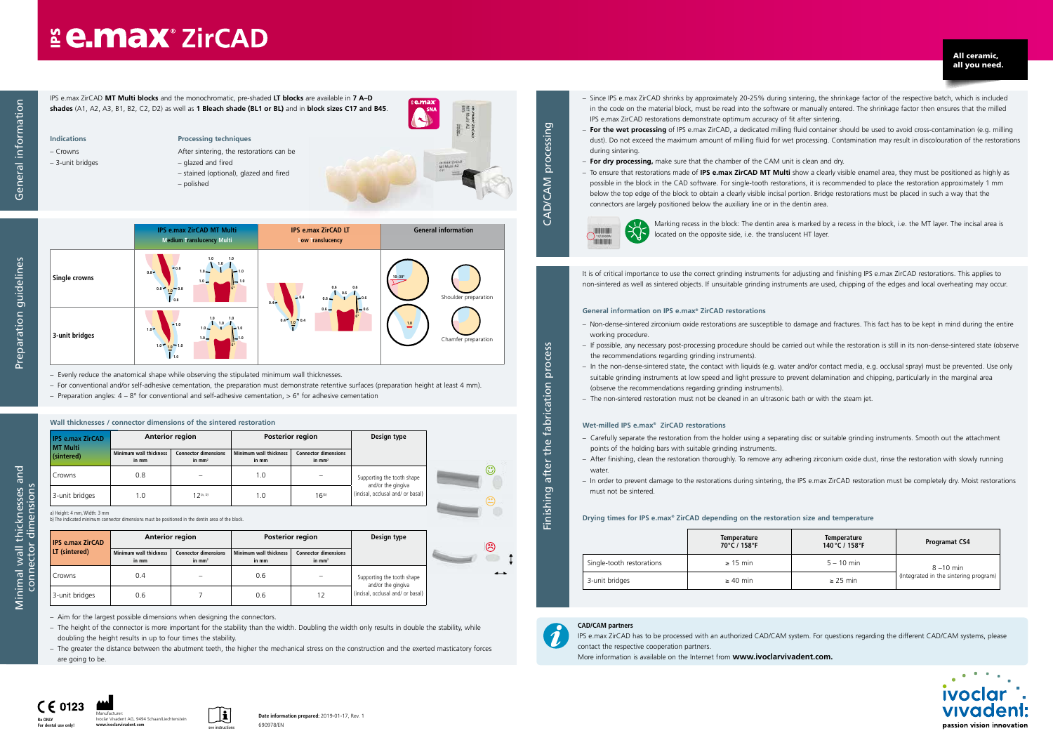CAD/CAM processing

CAD/CAM

processing

in the code on the material block, must be read into the software or manually entered. The shrinkage factor then ensures that the milled

– **For the wet processing** of IPS e.max ZirCAD, a dedicated milling fluid container should be used to avoid cross-contamination (e.g. milling dust). Do not exceed the maximum amount of milling fluid for wet processing. Contamination may result in discolouration of the restorations

- Since IPS e.max ZirCAD shrinks by approximately 20-25% during sintering, the shrinkage factor of the respective batch, which is included IPS e.max ZirCAD restorations demonstrate optimum accuracy of fit after sintering.
- during sintering.
- **For dry processing,** make sure that the chamber of the CAM unit is clean and dry.
- below the top edge of the block to obtain a clearly visible incisal portion. Bridge restorations must be placed in such a way that the connectors are largely positioned below the auxiliary line or in the dentin area.



– To ensure that restorations made of **IPS e.max ZirCAD MT Multi** show a clearly visible enamel area, they must be positioned as highly as possible in the block in the CAD software. For single-tooth restorations, it is recommended to place the restoration approximately 1 mm

Preparation guidelines Preparation guidelines

Marking recess in the block: The dentin area is marked by a recess in the block, i.e. the MT layer. The incisal area is located on the opposite side, i.e. the translucent HT layer.

All ceramic, all you need.

### **CAD/CAM partners**

IPS e.max ZirCAD has to be processed with an authorized CAD/CAM system. For questions regarding the different CAD/CAM systems, please





More information is available on the Internet from **www.ivoclarvivadent.com.**





Finishing after the fabrication process

after<sup>-</sup>

Finishing a

the fabrication

process

**For dental use only!**

It is of critical importance to use the correct grinding instruments for adjusting and finishing IPS e.max ZirCAD restorations. This applies to non-sintered as well as sintered objects. If unsuitable grinding instruments are used, chipping of the edges and local overheating may occur.

#### **General information on IPS e.max® ZirCAD restorations**

- Non-dense-sintered zirconium oxide restorations are susceptible to damage and fractures. This fact has to be kept in mind during the entire working procedure.
- If possible, any necessary post-processing procedure should be carried out while the restoration is still in its non-dense-sintered state (observe the recommendations regarding grinding instruments).
- suitable grinding instruments at low speed and light pressure to prevent delamination and chipping, particularly in the marginal area (observe the recommendations regarding grinding instruments).
- The non-sintered restoration must not be cleaned in an ultrasonic bath or with the steam jet.

– In the non-dense-sintered state, the contact with liquids (e.g. water and/or contact media, e.g. occlusal spray) must be prevented. Use only

## **E e.max ZirCAD**

IPS e.max ZirCAD **MT Multi blocks** and the monochromatic, pre-shaded **LT blocks** are available in **7 A–D shades** (A1, A2, A3, B1, B2, C2, D2) as well as **1 Bleach shade (BL1 or BL)** and in **block sizes C17 and B45**. **Indications**

#### **Wet-milled IPS e.max® ZirCAD restorations**

- Carefully separate the restoration from the holder using a separating disc or suitable grinding instruments. Smooth out the attachment points of the holding bars with suitable grinding instruments.
- After finishing, clean the restoration thoroughly. To remove any adhering zirconium oxide dust, rinse the restoration with slowly running water
- In order to prevent damage to the restorations during sintering, the IPS e.max ZirCAD restoration must be completely dry. Moist restorations must not be sintered.

| <b>IPS e.max ZirCAD</b><br>MT Multi | <b>Anterior region</b>                 |                                         | Posterior region                       |                                         | Design type                                             |
|-------------------------------------|----------------------------------------|-----------------------------------------|----------------------------------------|-----------------------------------------|---------------------------------------------------------|
| (sintered)                          | <b>Minimum wall thickness</b><br>in mm | <b>Connector dimensions</b><br>in $mm2$ | <b>Minimum wall thickness</b><br>in mm | <b>Connector dimensions</b><br>in $mm2$ |                                                         |
| Crowns                              | 0.8                                    |                                         | 1.0                                    |                                         | Supporting the tooth shape                              |
| 3-unit bridges                      | 1.0                                    | $12^{(a, b)}$                           | 1.0                                    | 16 <sup>(b)</sup>                       | and/or the gingiva<br>(incisal, occlusal and/ or basal) |

#### **Drying times for IPS e.max® ZirCAD depending on the restoration size and temperature**

|                           | <b>Temperature</b><br>70°C / 158°F | Temperature<br>140 °C / 158 °F | <b>Programat CS4</b>                  |
|---------------------------|------------------------------------|--------------------------------|---------------------------------------|
| Single-tooth restorations | $\geq$ 15 min                      | $5 - 10$ min                   | $8 - 10$ min                          |
| 3-unit bridges            | $\geq 40$ min                      | $\geq$ 25 min                  | (Integrated in the sintering program) |

– Crowns – 3-unit bridges

### **Processing techniques**

- After sintering, the restorations can be
- glazed and fired
- stained (optional), glazed and fired
- polished

258



– Evenly reduce the anatomical shape while observing the stipulated minimum wall thicknesses.

– For conventional and/or self-adhesive cementation, the preparation must demonstrate retentive surfaces (preparation height at least 4 mm).

– Preparation angles:  $4 - 8^{\circ}$  for conventional and self-adhesive cementation,  $> 6^{\circ}$  for adhesive cementation

– Aim for the largest possible dimensions when designing the connectors.

– The height of the connector is more important for the stability than the width. Doubling the width only results in double the stability, while doubling the height results in up to four times the stability.

– The greater the distance between the abutment teeth, the higher the mechanical stress on the construction and the exerted masticatory forces are going to be.

| <b>IPS e.max ZirCAD</b> |                                        | <b>Anterior region</b>                  |                                        | Posterior region                        | Design type                                             | ☺            |
|-------------------------|----------------------------------------|-----------------------------------------|----------------------------------------|-----------------------------------------|---------------------------------------------------------|--------------|
| LT (sintered)           | <b>Minimum wall thickness</b><br>in mm | <b>Connector dimensions</b><br>in $mm2$ | <b>Minimum wall thickness</b><br>in mm | <b>Connector dimensions</b><br>in $mm2$ |                                                         |              |
| Crowns                  | 0.4                                    |                                         | 0.6                                    |                                         | Supporting the tooth shape                              | $\leftarrow$ |
| 3-unit bridges          | 0.6                                    |                                         | 0.6                                    | 12                                      | and/or the gingiva<br>(incisal, occlusal and/ or basal) |              |